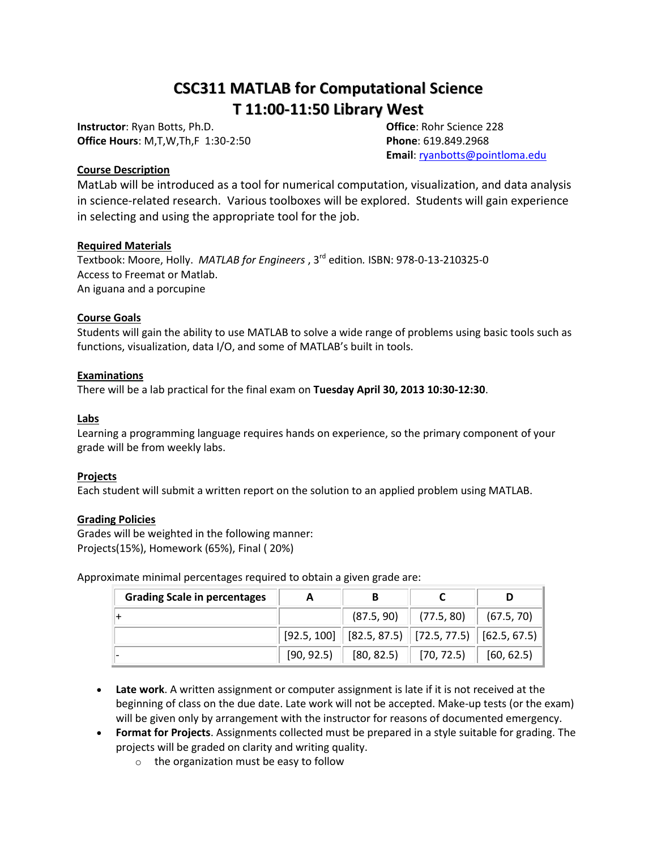# **CSC311 MATLAB for Computational Science T 11:00-11:50 Library West**

**Instructor**: Ryan Botts, Ph.D. **Office**: Rohr Science 228 **Office Hours**: M,T,W,Th,F 1:30-2:50 **Phone**: 619.849.2968

**Email**[: ryanbotts@pointloma.edu](mailto:ryanbotts@pointloma.edu)

#### **Course Description**

MatLab will be introduced as a tool for numerical computation, visualization, and data analysis in science-related research. Various toolboxes will be explored. Students will gain experience in selecting and using the appropriate tool for the job.

#### **Required Materials**

Textbook: Moore, Holly. *MATLAB for Engineers* , 3rd edition*.* ISBN: 978-0-13-210325-0 Access to Freemat or Matlab. An iguana and a porcupine

## **Course Goals**

Students will gain the ability to use MATLAB to solve a wide range of problems using basic tools such as functions, visualization, data I/O, and some of MATLAB's built in tools.

#### **Examinations**

There will be a lab practical for the final exam on **Tuesday April 30, 2013 10:30-12:30**.

#### **Labs**

Learning a programming language requires hands on experience, so the primary component of your grade will be from weekly labs.

## **Projects**

Each student will submit a written report on the solution to an applied problem using MATLAB.

## **Grading Policies**

Grades will be weighted in the following manner: Projects(15%), Homework (65%), Final ( 20%)

Approximate minimal percentages required to obtain a given grade are:

| <b>Grading Scale in percentages</b> |            |                                                            |                                    |            |
|-------------------------------------|------------|------------------------------------------------------------|------------------------------------|------------|
|                                     |            |                                                            | $(87.5, 90)$ (77.5, 80) (67.5, 70) |            |
|                                     |            | $[92.5, 100]$ $[82.5, 87.5]$ $[72.5, 77.5]$ $[62.5, 67.5]$ |                                    |            |
|                                     | [90, 92.5] | $[80, 82.5]$ $[70, 72.5]$                                  |                                    | [60, 62.5] |

- **Late work**. A written assignment or computer assignment is late if it is not received at the beginning of class on the due date. Late work will not be accepted. Make-up tests (or the exam) will be given only by arrangement with the instructor for reasons of documented emergency.
- **Format for Projects**. Assignments collected must be prepared in a style suitable for grading. The projects will be graded on clarity and writing quality.
	- o the organization must be easy to follow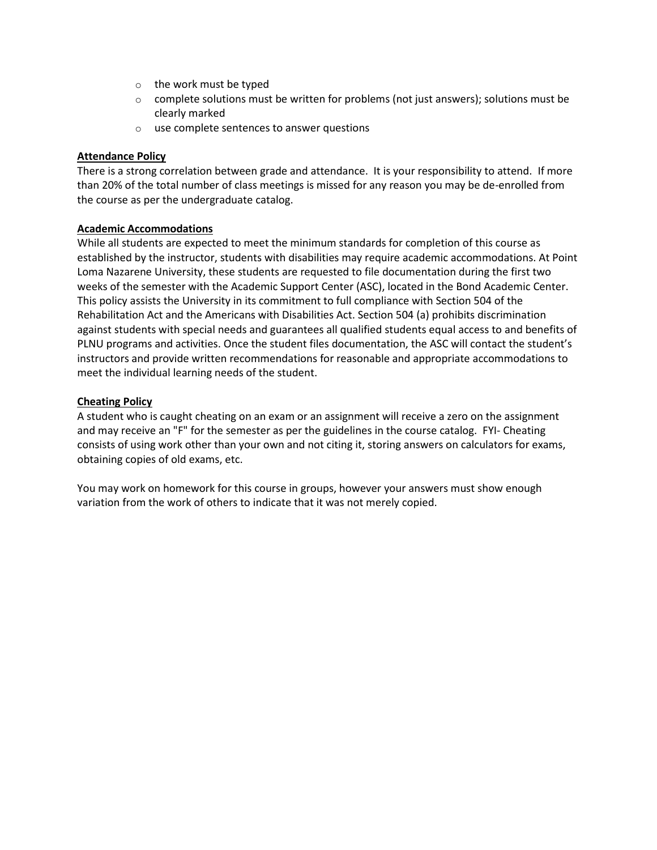- o the work must be typed
- $\circ$  complete solutions must be written for problems (not just answers); solutions must be clearly marked
- o use complete sentences to answer questions

# **Attendance Policy**

There is a strong correlation between grade and attendance. It is your responsibility to attend. If more than 20% of the total number of class meetings is missed for any reason you may be de-enrolled from the course as per the undergraduate catalog.

# **Academic Accommodations**

While all students are expected to meet the minimum standards for completion of this course as established by the instructor, students with disabilities may require academic accommodations. At Point Loma Nazarene University, these students are requested to file documentation during the first two weeks of the semester with the Academic Support Center (ASC), located in the Bond Academic Center. This policy assists the University in its commitment to full compliance with Section 504 of the Rehabilitation Act and the Americans with Disabilities Act. Section 504 (a) prohibits discrimination against students with special needs and guarantees all qualified students equal access to and benefits of PLNU programs and activities. Once the student files documentation, the ASC will contact the student's instructors and provide written recommendations for reasonable and appropriate accommodations to meet the individual learning needs of the student.

# **Cheating Policy**

A student who is caught cheating on an exam or an assignment will receive a zero on the assignment and may receive an "F" for the semester as per the guidelines in the course catalog. FYI- Cheating consists of using work other than your own and not citing it, storing answers on calculators for exams, obtaining copies of old exams, etc.

You may work on homework for this course in groups, however your answers must show enough variation from the work of others to indicate that it was not merely copied.